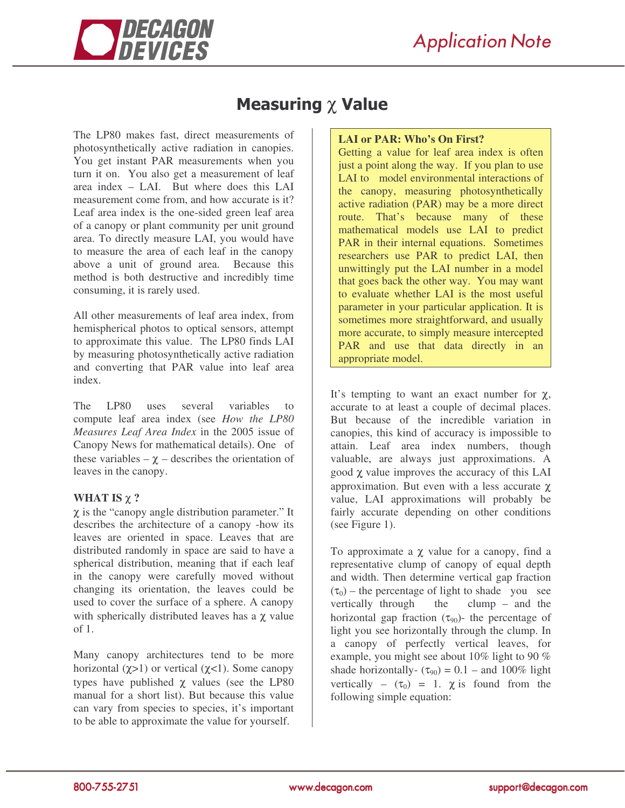

## Measuring  $\chi$  Value

The LP80 makes fast, direct measurements of photosynthetically active radiation in canopies. You get instant PAR measurements when you turn it on. You also get a measurement of leaf area index – LAI. But where does this LAI measurement come from, and how accurate is it? Leaf area index is the one-sided green leaf area of a canopy or plant community per unit ground area. To directly measure LAI, you would have to measure the area of each leaf in the canopy above a unit of ground area. Because this method is both destructive and incredibly time consuming, it is rarely used.

All other measurements of leaf area index, from hemispherical photos to optical sensors, attempt to approximate this value. The LP80 finds LAI by measuring photosynthetically active radiation and converting that PAR value into leaf area index.

The LP80 uses several variables to compute leaf area index (see *How the LP80 Measures Leaf Area Index* in the 2005 issue of Canopy News for mathematical details). One of these variables –  $\chi$  – describes the orientation of leaves in the canopy.

## **WHAT IS** χ **?**

χ is the "canopy angle distribution parameter." It describes the architecture of a canopy -how its leaves are oriented in space. Leaves that are distributed randomly in space are said to have a spherical distribution, meaning that if each leaf in the canopy were carefully moved without changing its orientation, the leaves could be used to cover the surface of a sphere. A canopy with spherically distributed leaves has a  $\chi$  value of 1.

Many canopy architectures tend to be more horizontal ( $χ>1$ ) or vertical ( $χ<1$ ). Some canopy types have published  $\chi$  values (see the LP80) manual for a short list). But because this value can vary from species to species, it's important to be able to approximate the value for yourself.

## **LAI or PAR: Who's On First?**

Getting a value for leaf area index is often just a point along the way. If you plan to use LAI to model environmental interactions of the canopy, measuring photosynthetically active radiation (PAR) may be a more direct route. That's because many of these mathematical models use LAI to predict PAR in their internal equations. Sometimes researchers use PAR to predict LAI, then unwittingly put the LAI number in a model that goes back the other way. You may want to evaluate whether LAI is the most useful parameter in your particular application. It is sometimes more straightforward, and usually more accurate, to simply measure intercepted PAR and use that data directly in an appropriate model.

It's tempting to want an exact number for  $\chi$ , accurate to at least a couple of decimal places. But because of the incredible variation in canopies, this kind of accuracy is impossible to attain. Leaf area index numbers, though valuable, are always just approximations. A good χ value improves the accuracy of this LAI approximation. But even with a less accurate χ value, LAI approximations will probably be fairly accurate depending on other conditions (see Figure 1).

To approximate a χ value for a canopy, find a representative clump of canopy of equal depth and width. Then determine vertical gap fraction  $(\tau_0)$  – the percentage of light to shade you see vertically through the clump – and the horizontal gap fraction  $(\tau_{90})$ - the percentage of light you see horizontally through the clump. In a canopy of perfectly vertical leaves, for example, you might see about 10% light to 90 % shade horizontally-  $(\tau_{90}) = 0.1$  – and 100% light vertically –  $(\tau_0) = 1$ .  $\chi$  is found from the following simple equation: